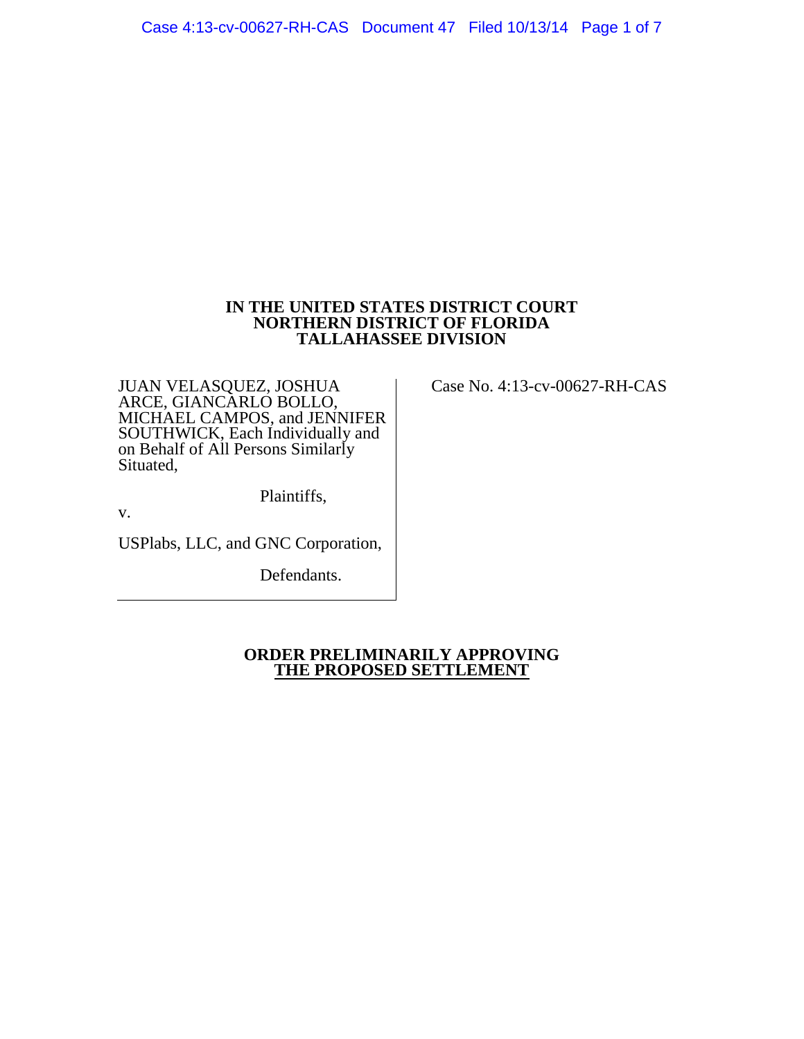## **IN THE UNITED STATES DISTRICT COURT NORTHERN DISTRICT OF FLORIDA TALLAHASSEE DIVISION**

JUAN VELASQUEZ, JOSHUA ARCE, GIANCARLO BOLLO, MICHAEL CAMPOS, and JENNIFER SOUTHWICK, Each Individually and on Behalf of All Persons Similarly Situated,

Plaintiffs,

v.

USPlabs, LLC, and GNC Corporation,

Defendants.

**ORDER PRELIMINARILY APPROVING THE PROPOSED SETTLEMENT**

Case No. 4:13-cv-00627-RH-CAS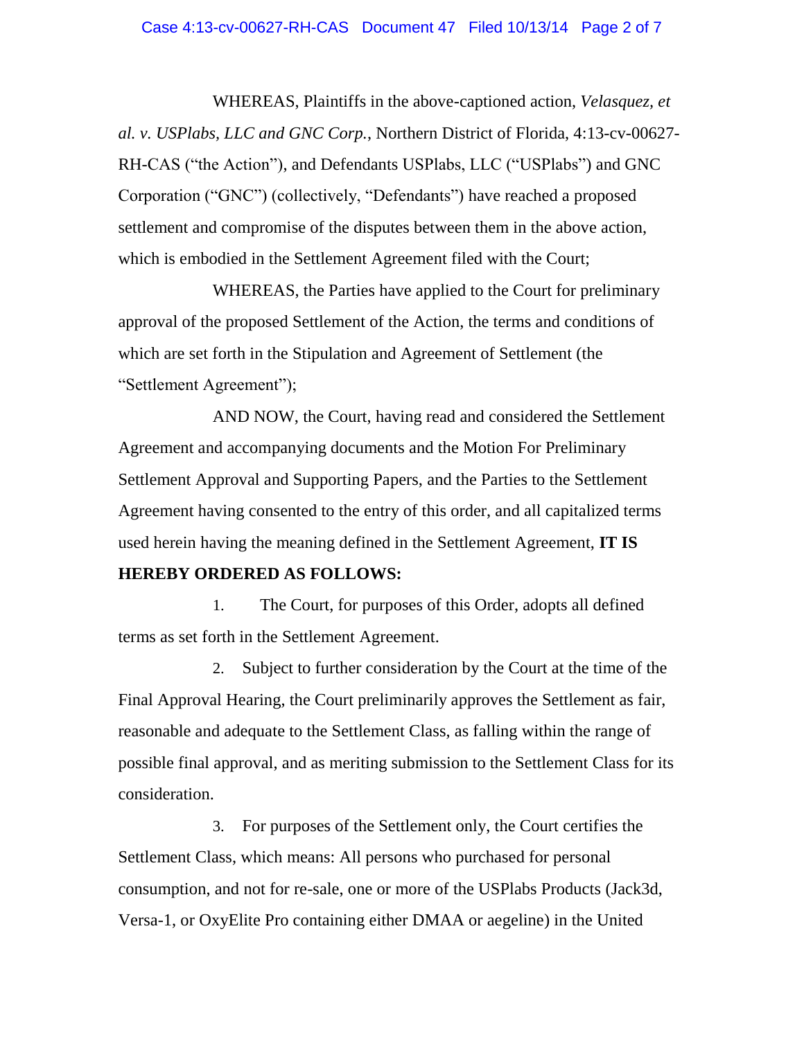WHEREAS, Plaintiffs in the above-captioned action, *Velasquez, et al. v. USPlabs, LLC and GNC Corp.*, Northern District of Florida, 4:13-cv-00627- RH-CAS ("the Action"), and Defendants USPlabs, LLC ("USPlabs") and GNC Corporation ("GNC") (collectively, "Defendants") have reached a proposed settlement and compromise of the disputes between them in the above action, which is embodied in the Settlement Agreement filed with the Court;

WHEREAS, the Parties have applied to the Court for preliminary approval of the proposed Settlement of the Action, the terms and conditions of which are set forth in the Stipulation and Agreement of Settlement (the "Settlement Agreement");

AND NOW, the Court, having read and considered the Settlement Agreement and accompanying documents and the Motion For Preliminary Settlement Approval and Supporting Papers, and the Parties to the Settlement Agreement having consented to the entry of this order, and all capitalized terms used herein having the meaning defined in the Settlement Agreement, **IT IS** 

## **HEREBY ORDERED AS FOLLOWS:**

1. The Court, for purposes of this Order, adopts all defined terms as set forth in the Settlement Agreement.

2. Subject to further consideration by the Court at the time of the Final Approval Hearing, the Court preliminarily approves the Settlement as fair, reasonable and adequate to the Settlement Class, as falling within the range of possible final approval, and as meriting submission to the Settlement Class for its consideration.

3. For purposes of the Settlement only, the Court certifies the Settlement Class, which means: All persons who purchased for personal consumption, and not for re-sale, one or more of the USPlabs Products (Jack3d, Versa-1, or OxyElite Pro containing either DMAA or aegeline) in the United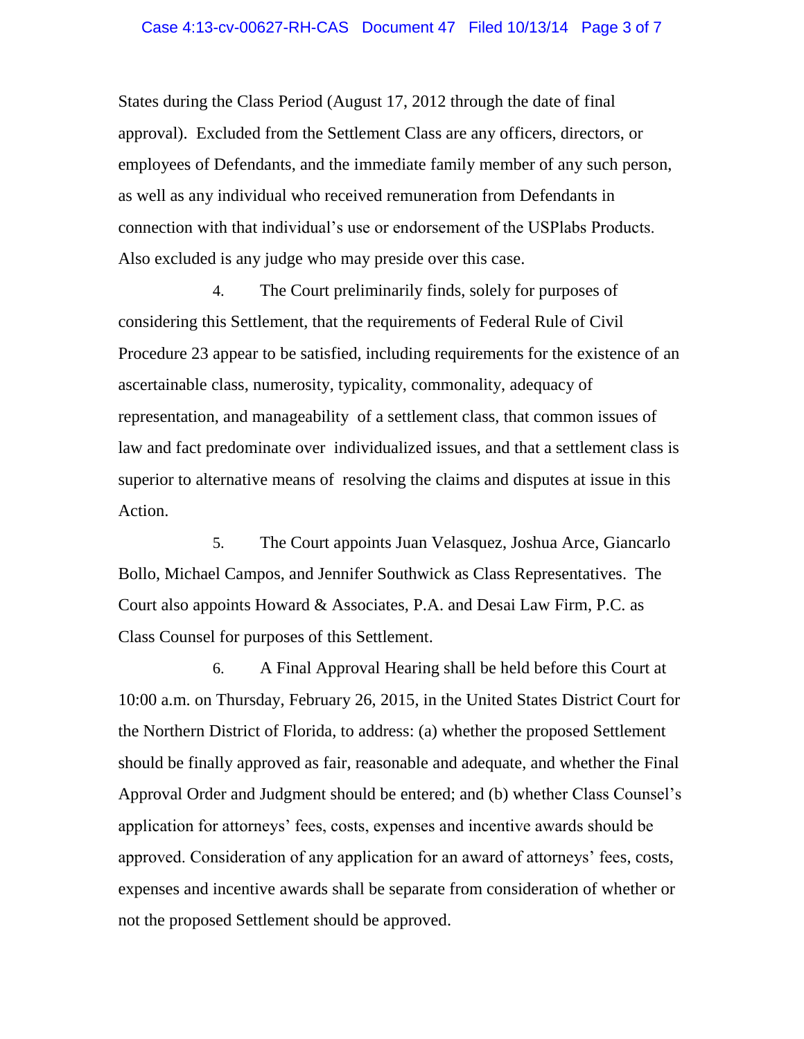States during the Class Period (August 17, 2012 through the date of final approval). Excluded from the Settlement Class are any officers, directors, or employees of Defendants, and the immediate family member of any such person, as well as any individual who received remuneration from Defendants in connection with that individual's use or endorsement of the USPlabs Products. Also excluded is any judge who may preside over this case.

4. The Court preliminarily finds, solely for purposes of considering this Settlement, that the requirements of Federal Rule of Civil Procedure 23 appear to be satisfied, including requirements for the existence of an ascertainable class, numerosity, typicality, commonality, adequacy of representation, and manageability of a settlement class, that common issues of law and fact predominate over individualized issues, and that a settlement class is superior to alternative means of resolving the claims and disputes at issue in this Action.

5. The Court appoints Juan Velasquez, Joshua Arce, Giancarlo Bollo, Michael Campos, and Jennifer Southwick as Class Representatives. The Court also appoints Howard & Associates, P.A. and Desai Law Firm, P.C. as Class Counsel for purposes of this Settlement.

6. A Final Approval Hearing shall be held before this Court at 10:00 a.m. on Thursday, February 26, 2015, in the United States District Court for the Northern District of Florida, to address: (a) whether the proposed Settlement should be finally approved as fair, reasonable and adequate, and whether the Final Approval Order and Judgment should be entered; and (b) whether Class Counsel's application for attorneys' fees, costs, expenses and incentive awards should be approved. Consideration of any application for an award of attorneys' fees, costs, expenses and incentive awards shall be separate from consideration of whether or not the proposed Settlement should be approved.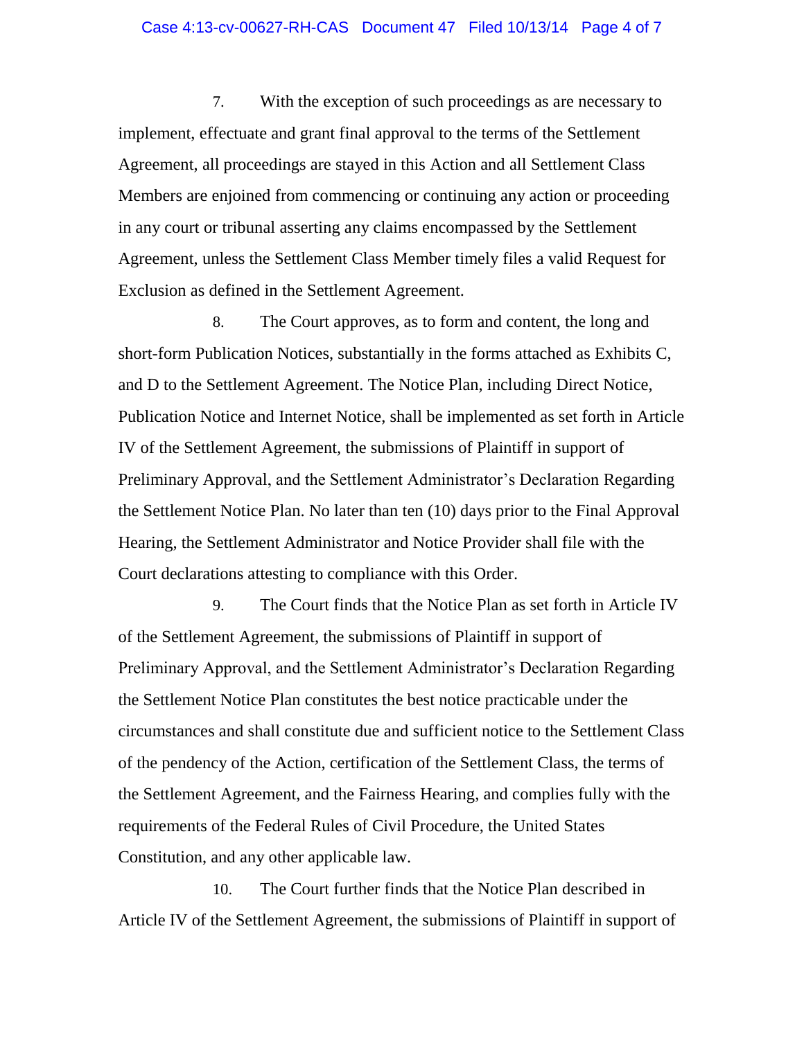## Case 4:13-cv-00627-RH-CAS Document 47 Filed 10/13/14 Page 4 of 7

7. With the exception of such proceedings as are necessary to implement, effectuate and grant final approval to the terms of the Settlement Agreement, all proceedings are stayed in this Action and all Settlement Class Members are enjoined from commencing or continuing any action or proceeding in any court or tribunal asserting any claims encompassed by the Settlement Agreement, unless the Settlement Class Member timely files a valid Request for Exclusion as defined in the Settlement Agreement.

8. The Court approves, as to form and content, the long and short-form Publication Notices, substantially in the forms attached as Exhibits C, and D to the Settlement Agreement. The Notice Plan, including Direct Notice, Publication Notice and Internet Notice, shall be implemented as set forth in Article IV of the Settlement Agreement, the submissions of Plaintiff in support of Preliminary Approval, and the Settlement Administrator's Declaration Regarding the Settlement Notice Plan. No later than ten (10) days prior to the Final Approval Hearing, the Settlement Administrator and Notice Provider shall file with the Court declarations attesting to compliance with this Order.

9. The Court finds that the Notice Plan as set forth in Article IV of the Settlement Agreement, the submissions of Plaintiff in support of Preliminary Approval, and the Settlement Administrator's Declaration Regarding the Settlement Notice Plan constitutes the best notice practicable under the circumstances and shall constitute due and sufficient notice to the Settlement Class of the pendency of the Action, certification of the Settlement Class, the terms of the Settlement Agreement, and the Fairness Hearing, and complies fully with the requirements of the Federal Rules of Civil Procedure, the United States Constitution, and any other applicable law.

10. The Court further finds that the Notice Plan described in Article IV of the Settlement Agreement, the submissions of Plaintiff in support of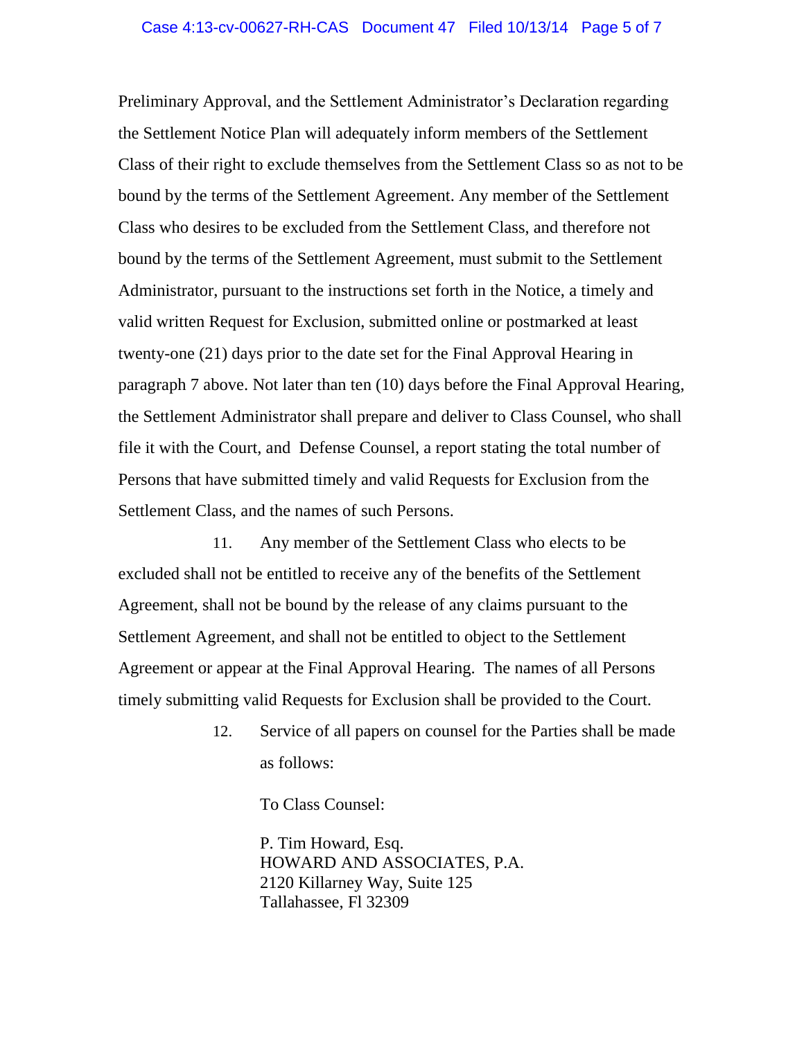Preliminary Approval, and the Settlement Administrator's Declaration regarding the Settlement Notice Plan will adequately inform members of the Settlement Class of their right to exclude themselves from the Settlement Class so as not to be bound by the terms of the Settlement Agreement. Any member of the Settlement Class who desires to be excluded from the Settlement Class, and therefore not bound by the terms of the Settlement Agreement, must submit to the Settlement Administrator, pursuant to the instructions set forth in the Notice, a timely and valid written Request for Exclusion, submitted online or postmarked at least twenty-one (21) days prior to the date set for the Final Approval Hearing in paragraph 7 above. Not later than ten (10) days before the Final Approval Hearing, the Settlement Administrator shall prepare and deliver to Class Counsel, who shall file it with the Court, and Defense Counsel, a report stating the total number of Persons that have submitted timely and valid Requests for Exclusion from the Settlement Class, and the names of such Persons.

11. Any member of the Settlement Class who elects to be excluded shall not be entitled to receive any of the benefits of the Settlement Agreement, shall not be bound by the release of any claims pursuant to the Settlement Agreement, and shall not be entitled to object to the Settlement Agreement or appear at the Final Approval Hearing. The names of all Persons timely submitting valid Requests for Exclusion shall be provided to the Court.

> 12. Service of all papers on counsel for the Parties shall be made as follows:

> > To Class Counsel:

P. Tim Howard, Esq. HOWARD AND ASSOCIATES, P.A. 2120 Killarney Way, Suite 125 Tallahassee, Fl 32309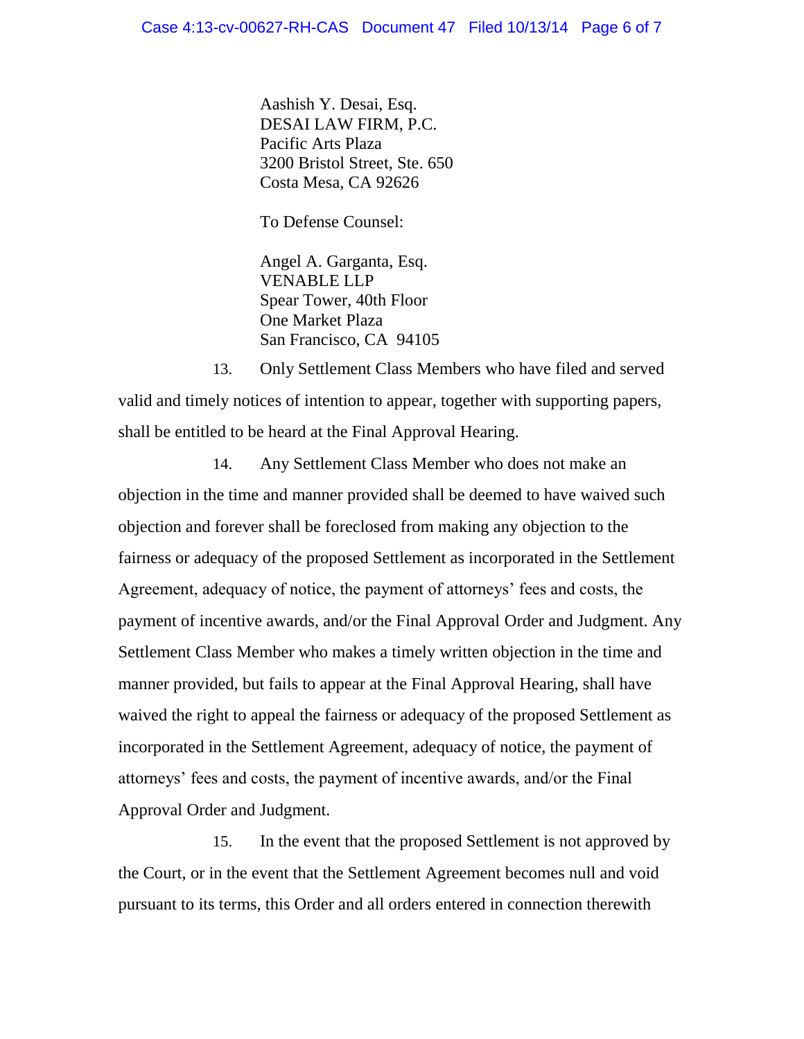Aashish Y. Desai, Esq. DESAI LAW FIRM, P.C. Pacific Arts Plaza 3200 Bristol Street, Ste. 650 Costa Mesa, CA 92626

To Defense Counsel:

Angel A. Garganta, Esq. VENABLE LLP Spear Tower, 40th Floor One Market Plaza San Francisco, CA 94105

13. Only Settlement Class Members who have filed and served valid and timely notices of intention to appear, together with supporting papers, shall be entitled to be heard at the Final Approval Hearing.

14. Any Settlement Class Member who does not make an objection in the time and manner provided shall be deemed to have waived such objection and forever shall be foreclosed from making any objection to the fairness or adequacy of the proposed Settlement as incorporated in the Settlement Agreement, adequacy of notice, the payment of attorneys' fees and costs, the payment of incentive awards, and/or the Final Approval Order and Judgment. Any Settlement Class Member who makes a timely written objection in the time and manner provided, but fails to appear at the Final Approval Hearing, shall have waived the right to appeal the fairness or adequacy of the proposed Settlement as incorporated in the Settlement Agreement, adequacy of notice, the payment of attorneys' fees and costs, the payment of incentive awards, and/or the Final Approval Order and Judgment.

15. In the event that the proposed Settlement is not approved by the Court, or in the event that the Settlement Agreement becomes null and void pursuant to its terms, this Order and all orders entered in connection therewith